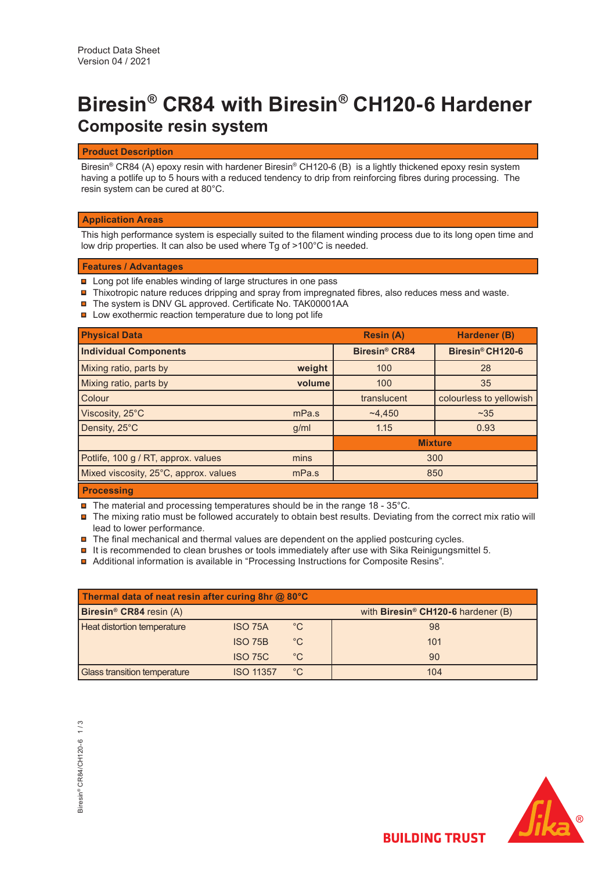# **Biresin® CR84 with Biresin® CH120-6 Hardener Composite resin system**

# **Product Description**

Biresin® CR84 (A) epoxy resin with hardener Biresin® CH120-6 (B) is a lightly thickened epoxy resin system having a potlife up to 5 hours with a reduced tendency to drip from reinforcing fibres during processing. The resin system can be cured at 80°C.

# **Application Areas**

This high performance system is especially suited to the filament winding process due to its long open time and low drip properties. It can also be used where Tg of >100°C is needed.

# **Features / Advantages**

- **□** Long pot life enables winding of large structures in one pass
- $\blacksquare$  Thixotropic nature reduces dripping and spray from impregnated fibres, also reduces mess and waste.
- The system is DNV GL approved. Certificate No. TAK00001AA
- **□** Low exothermic reaction temperature due to long pot life

| <b>Physical Data</b>                  |        | <b>Resin (A)</b>                | Hardener (B)            |  |
|---------------------------------------|--------|---------------------------------|-------------------------|--|
| <b>Individual Components</b>          |        | <b>Biresin<sup>®</sup> CR84</b> | Biresin® CH120-6        |  |
| Mixing ratio, parts by                | weight | 100                             | 28                      |  |
| Mixing ratio, parts by                | volume | 100                             | 35                      |  |
| Colour                                |        | translucent                     | colourless to yellowish |  |
| Viscosity, 25°C                       | mPa.s  | ~14.450                         | ~235                    |  |
| Density, 25°C                         | q/ml   | 1.15<br>0.93                    |                         |  |
|                                       |        | <b>Mixture</b>                  |                         |  |
| Potlife, 100 g / RT, approx. values   | mins   | 300                             |                         |  |
| Mixed viscosity, 25°C, approx. values | mPa.s  | 850                             |                         |  |
| <b>Dragoning</b>                      |        |                                 |                         |  |

## **Processing**

- $\blacksquare$  The material and processing temperatures should be in the range 18 35°C.
- $\blacksquare$  The mixing ratio must be followed accurately to obtain best results. Deviating from the correct mix ratio will lead to lower performance.
- $\blacksquare$  The final mechanical and thermal values are dependent on the applied postcuring cycles.
- $\blacksquare$  It is recommended to clean brushes or tools immediately after use with Sika Reinigungsmittel 5.
- Additional information is available in "Processing Instructions for Composite Resins".

| Thermal data of neat resin after curing 8hr @ 80°C |                  |              |                                                |
|----------------------------------------------------|------------------|--------------|------------------------------------------------|
| Biresin <sup>®</sup> CR84 resin (A)                |                  |              | with Biresin <sup>®</sup> CH120-6 hardener (B) |
| Heat distortion temperature                        | <b>ISO 75A</b>   | $^{\circ}$ C | 98                                             |
|                                                    | <b>ISO 75B</b>   | $^{\circ}C$  | 101                                            |
|                                                    | <b>ISO 75C</b>   | $^{\circ}$ C | 90                                             |
| Glass transition temperature                       | <b>ISO 11357</b> | $^{\circ}$ C | 104                                            |



**BUILDING TRUST**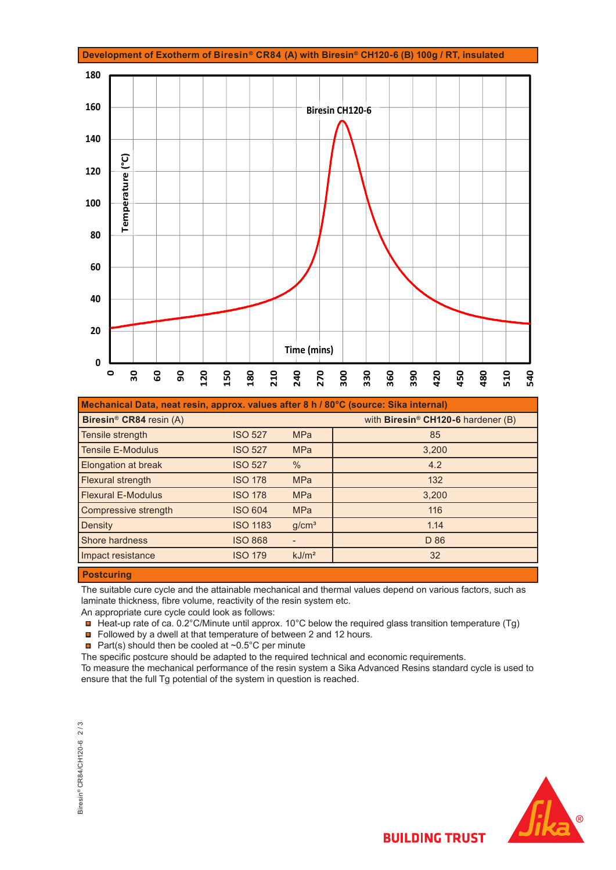

| Mechanical Data, neat resin, approx. values after 8 h / 80°C (source: Sika internal) |                 |                   |                                    |  |
|--------------------------------------------------------------------------------------|-----------------|-------------------|------------------------------------|--|
| Biresin <sup>®</sup> CR84 resin (A)                                                  |                 |                   | with Biresin® CH120-6 hardener (B) |  |
| Tensile strength                                                                     | <b>ISO 527</b>  | <b>MPa</b>        | 85                                 |  |
| <b>Tensile E-Modulus</b>                                                             | <b>ISO 527</b>  | <b>MPa</b>        | 3,200                              |  |
| <b>Elongation at break</b>                                                           | <b>ISO 527</b>  | $\%$              | 4.2                                |  |
| <b>Flexural strength</b>                                                             | <b>ISO 178</b>  | <b>MPa</b>        | 132                                |  |
| <b>Flexural E-Modulus</b>                                                            | <b>ISO 178</b>  | <b>MPa</b>        | 3,200                              |  |
| Compressive strength                                                                 | <b>ISO 604</b>  | <b>MPa</b>        | 116                                |  |
| Density                                                                              | <b>ISO 1183</b> | g/cm <sup>3</sup> | 1.14                               |  |
| Shore hardness                                                                       | <b>ISO 868</b>  |                   | D 86                               |  |
| Impact resistance                                                                    | <b>ISO 179</b>  | kJ/m <sup>2</sup> | 32                                 |  |

## **Postcuring**

The suitable cure cycle and the attainable mechanical and thermal values depend on various factors, such as laminate thickness, fibre volume, reactivity of the resin system etc.

An appropriate cure cycle could look as follows:

 $\Box$  Heat-up rate of ca. 0.2°C/Minute until approx. 10°C below the required glass transition temperature (Tg)

Followed by a dwell at that temperature of between 2 and 12 hours.

**Part(s)** should then be cooled at  $\sim 0.5^{\circ}$ C per minute

The specific postcure should be adapted to the required technical and economic requirements.

To measure the mechanical performance of the resin system a Sika Advanced Resins standard cycle is used to ensure that the full Tg potential of the system in question is reached.

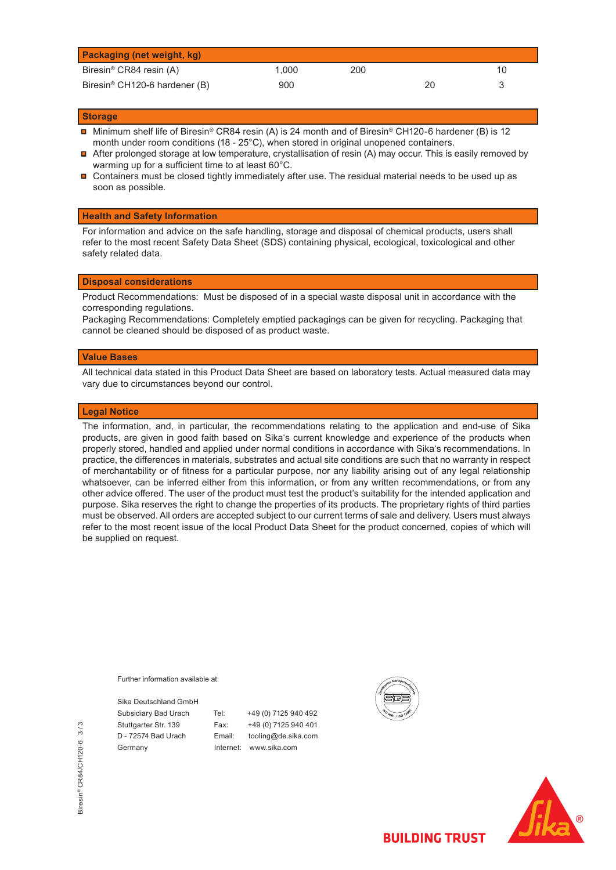| <b>Packaging (net weight, kg)</b>         |       |     |    |    |
|-------------------------------------------|-------|-----|----|----|
| Biresin <sup>®</sup> CR84 resin (A)       | 1.000 | 200 |    | 10 |
| Biresin <sup>®</sup> CH120-6 hardener (B) | 900   |     | 20 |    |

## **Storage**

- Minimum shelf life of Biresin® CR84 resin (A) is 24 month and of Biresin® CH120-6 hardener (B) is 12 month under room conditions (18 - 25°C), when stored in original unopened containers.
- Π After prolonged storage at low temperature, crystallisation of resin (A) may occur. This is easily removed by warming up for a sufficient time to at least 60°C.
- $\blacksquare$ Containers must be closed tightly immediately after use. The residual material needs to be used up as soon as possible.

## **Health and Safety Information**

For information and advice on the safe handling, storage and disposal of chemical products, users shall refer to the most recent Safety Data Sheet (SDS) containing physical, ecological, toxicological and other safety related data.

## **Disposal considerations**

Product Recommendations: Must be disposed of in a special waste disposal unit in accordance with the corresponding regulations.

Packaging Recommendations: Completely emptied packagings can be given for recycling. Packaging that cannot be cleaned should be disposed of as product waste.

#### **Value Bases**

All technical data stated in this Product Data Sheet are based on laboratory tests. Actual measured data may vary due to circumstances beyond our control.

### **Legal Notice**

The information, and, in particular, the recommendations relating to the application and end-use of Sika products, are given in good faith based on Sika's current knowledge and experience of the products when properly stored, handled and applied under normal conditions in accordance with Sika's recommendations. In practice, the differences in materials, substrates and actual site conditions are such that no warranty in respect of merchantability or of fitness for a particular purpose, nor any liability arising out of any legal relationship whatsoever, can be inferred either from this information, or from any written recommendations, or from any other advice offered. The user of the product must test the product's suitability for the intended application and purpose. Sika reserves the right to change the properties of its products. The proprietary rights of third parties must be observed. All orders are accepted subject to our current terms of sale and delivery. Users must always refer to the most recent issue of the local Product Data Sheet for the product concerned, copies of which will be supplied on request.

Further information available at:

Sika Deutschland GmbH Subsidiary Bad Urach Tel: +49 (0) 7125 940 492 Stuttgarter Str. 139 Fax: +49 (0) 7125 940 401 D - 72574 Bad Urach Email: tooling@de.sika.com Germany **Internet:** www.sika.com





**BUILDING TRUST**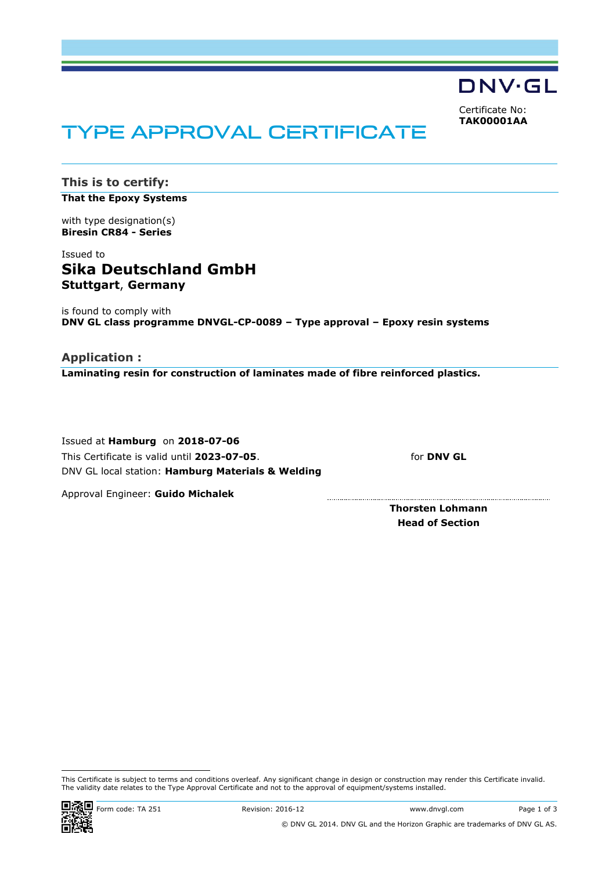

<span id="page-3-0"></span>Certificate No: **TAK00001AA**

# TYPE APPROVAL CERTIFICATE

**This is to certify: That the Epoxy Systems**

with type designation(s) **Biresin CR84 - Series**

# Issued to **Sika Deutschland GmbH Stuttgart**, **Germany**

is found to comply with **DNV GL class programme DNVGL-CP-0089 – Type approval – Epoxy resin systems**

# **Application :**

**Laminating resin for construction of laminates made of fibre reinforced plastics.**

Issued at **Hamburg** on **2018-07-06** This Certificate is valid until **2023-07-05**. DNV GL local station: **Hamburg Materials & Welding**

for **DNV GL**

Approval Engineer: **Guido Michalek**

**Thorsten Lohmann Head of Section**

This Certificate is subject to terms and conditions overleaf. Any significant change in design or construction may render this Certificate invalid. The validity date relates to the Type Approval Certificate and not to the approval of equipment/systems installed.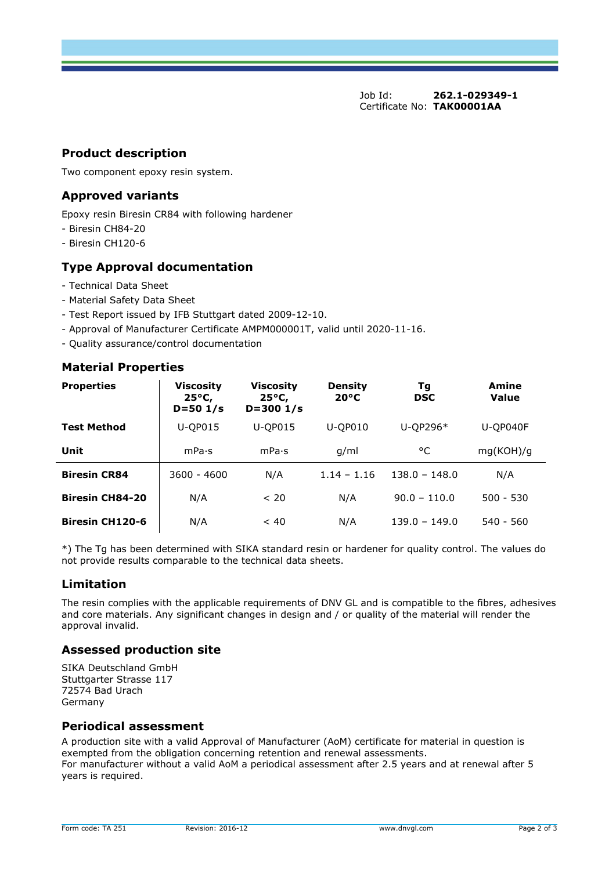Job Id: **262.1-029349-1**  Certificate No: **[TAK00001AA](#page-3-0)**

# **Product description**

Two component epoxy resin system.

# **Approved variants**

Epoxy resin Biresin CR84 with following hardener

- Biresin CH84-20
- Biresin CH120-6

# **Type Approval documentation**

- Technical Data Sheet
- Material Safety Data Sheet
- Test Report issued by IFB Stuttgart dated 2009-12-10.
- Approval of Manufacturer Certificate AMPM000001T, valid until 2020-11-16.
- Quality assurance/control documentation

# **Material Properties**

| <b>Properties</b>      | Viscosity<br>$25^{\circ}$ C,<br>$D = 501/s$ | <b>Viscosity</b><br>$25^{\circ}$ C,<br>$D = 3001/s$ | <b>Density</b><br>$20^{\circ}C$ | Τg<br><b>DSC</b> | Amine<br>Value |
|------------------------|---------------------------------------------|-----------------------------------------------------|---------------------------------|------------------|----------------|
| <b>Test Method</b>     | U-QP015                                     | <b>U-OP015</b>                                      | <b>U-OP010</b>                  | U-QP296*         | U-QP040F       |
| Unit                   | mPa·s                                       | mPa·s                                               | g/ml                            | °C               | mg(KOH)/g      |
| <b>Biresin CR84</b>    | $3600 - 4600$                               | N/A                                                 | $1.14 - 1.16$                   | $138.0 - 148.0$  | N/A            |
| <b>Biresin CH84-20</b> | N/A                                         | < 20                                                | N/A                             | $90.0 - 110.0$   | $500 - 530$    |
| <b>Biresin CH120-6</b> | N/A                                         | ~< 40                                               | N/A                             | $139.0 - 149.0$  | $540 - 560$    |

\*) The Tg has been determined with SIKA standard resin or hardener for quality control. The values do not provide results comparable to the technical data sheets.

# **Limitation**

The resin complies with the applicable requirements of DNV GL and is compatible to the fibres, adhesives and core materials. Any significant changes in design and / or quality of the material will render the approval invalid.

# **Assessed production site**

SIKA Deutschland GmbH Stuttgarter Strasse 117 72574 Bad Urach Germany

## **Periodical assessment**

A production site with a valid Approval of Manufacturer (AoM) certificate for material in question is exempted from the obligation concerning retention and renewal assessments. For manufacturer without a valid AoM a periodical assessment after 2.5 years and at renewal after 5 years is required.